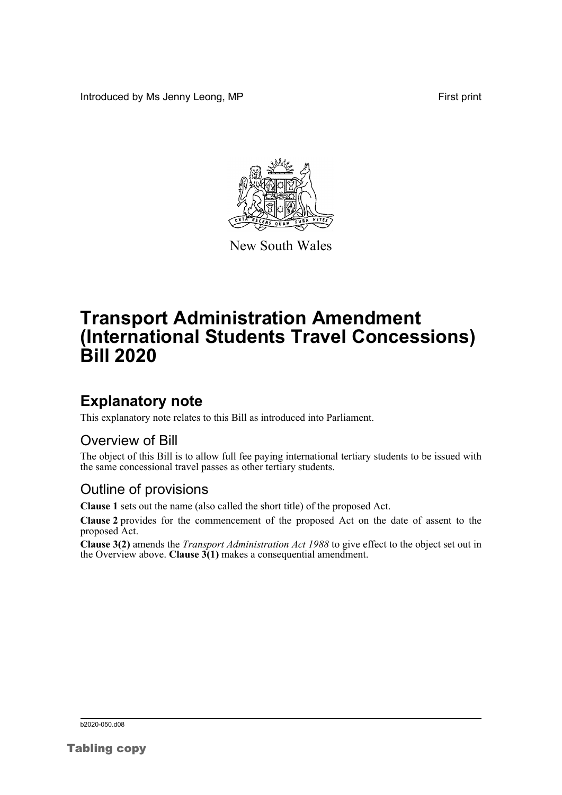Introduced by Ms Jenny Leong, MP First print



New South Wales

# **Transport Administration Amendment (International Students Travel Concessions) Bill 2020**

## **Explanatory note**

This explanatory note relates to this Bill as introduced into Parliament.

#### Overview of Bill

The object of this Bill is to allow full fee paying international tertiary students to be issued with the same concessional travel passes as other tertiary students.

#### Outline of provisions

**Clause 1** sets out the name (also called the short title) of the proposed Act.

**Clause 2** provides for the commencement of the proposed Act on the date of assent to the proposed Act.

**Clause 3(2)** amends the *Transport Administration Act 1988* to give effect to the object set out in the Overview above. **Clause**  $3(1)$  makes a consequential amendment.

b2020-050.d08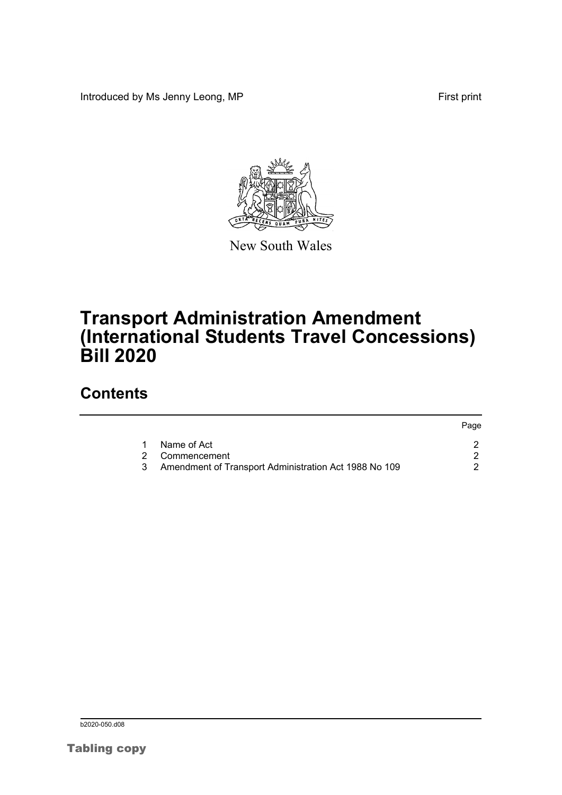Introduced by Ms Jenny Leong, MP First print



New South Wales

## **Transport Administration Amendment (International Students Travel Concessions) Bill 2020**

### **Contents**

|   |                                                         | Page |
|---|---------------------------------------------------------|------|
| 1 | Name of Act                                             |      |
|   | 2 Commencement                                          |      |
|   | 3 Amendment of Transport Administration Act 1988 No 109 |      |

b<sub>2020</sub>-050.d08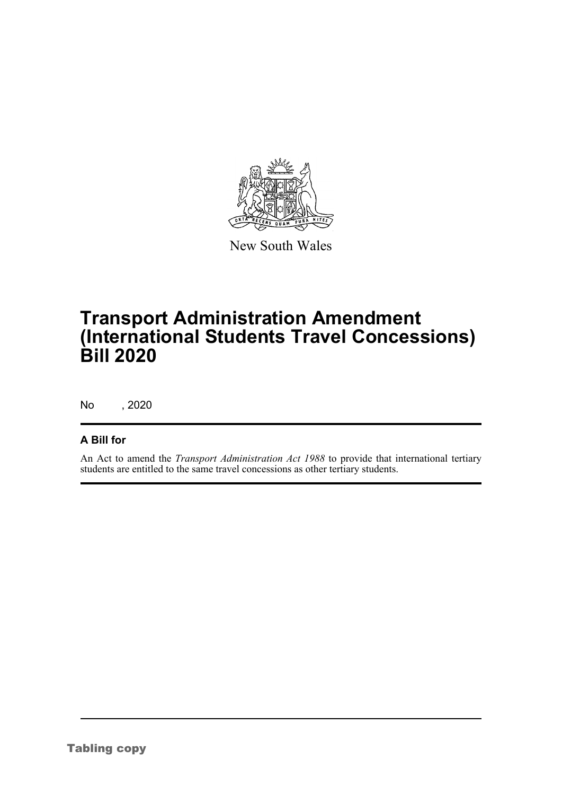

New South Wales

# **Transport Administration Amendment (International Students Travel Concessions) Bill 2020**

No , 2020

#### **A Bill for**

An Act to amend the *Transport Administration Act 1988* to provide that international tertiary students are entitled to the same travel concessions as other tertiary students.